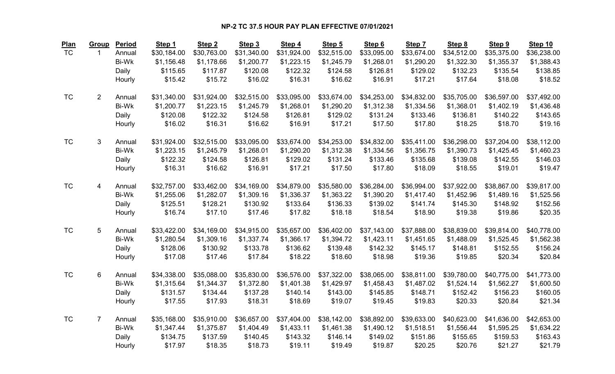| <b>Plan</b> | Group          | Period       | Step 1      | Step <sub>2</sub> | Step 3      | Step 4      | Step 5      | Step 6      | Step 7      | Step 8      | Step 9      | Step 10     |
|-------------|----------------|--------------|-------------|-------------------|-------------|-------------|-------------|-------------|-------------|-------------|-------------|-------------|
| <b>TC</b>   | $\mathbf{1}$   | Annual       | \$30,184.00 | \$30,763.00       | \$31,340.00 | \$31,924.00 | \$32,515.00 | \$33,095.00 | \$33,674.00 | \$34,512.00 | \$35,375.00 | \$36,238.00 |
|             |                | Bi-Wk        | \$1,156.48  | \$1,178.66        | \$1,200.77  | \$1,223.15  | \$1,245.79  | \$1,268.01  | \$1,290.20  | \$1,322.30  | \$1,355.37  | \$1,388.43  |
|             |                | Daily        | \$115.65    | \$117.87          | \$120.08    | \$122.32    | \$124.58    | \$126.81    | \$129.02    | \$132.23    | \$135.54    | \$138.85    |
|             |                | Hourly       | \$15.42     | \$15.72           | \$16.02     | \$16.31     | \$16.62     | \$16.91     | \$17.21     | \$17.64     | \$18.08     | \$18.52     |
|             |                |              |             |                   |             |             |             |             |             |             |             |             |
| <b>TC</b>   | $\overline{2}$ | Annual       | \$31,340.00 | \$31,924.00       | \$32,515.00 | \$33,095.00 | \$33,674.00 | \$34,253.00 | \$34,832.00 | \$35,705.00 | \$36,597.00 | \$37,492.00 |
|             |                | Bi-Wk        | \$1,200.77  | \$1,223.15        | \$1,245.79  | \$1,268.01  | \$1,290.20  | \$1,312.38  | \$1,334.56  | \$1,368.01  | \$1,402.19  | \$1,436.48  |
|             |                | Daily        | \$120.08    | \$122.32          | \$124.58    | \$126.81    | \$129.02    | \$131.24    | \$133.46    | \$136.81    | \$140.22    | \$143.65    |
|             |                | Hourly       | \$16.02     | \$16.31           | \$16.62     | \$16.91     | \$17.21     | \$17.50     | \$17.80     | \$18.25     | \$18.70     | \$19.16     |
| <b>TC</b>   | 3              | Annual       | \$31,924.00 | \$32,515.00       | \$33,095.00 | \$33,674.00 | \$34,253.00 | \$34,832.00 | \$35,411.00 | \$36,298.00 | \$37,204.00 | \$38,112.00 |
|             |                | <b>Bi-Wk</b> | \$1,223.15  | \$1,245.79        | \$1,268.01  | \$1,290.20  | \$1,312.38  | \$1,334.56  | \$1,356.75  | \$1,390.73  | \$1,425.45  | \$1,460.23  |
|             |                | Daily        | \$122.32    | \$124.58          | \$126.81    | \$129.02    | \$131.24    | \$133.46    | \$135.68    | \$139.08    | \$142.55    | \$146.03    |
|             |                | Hourly       | \$16.31     | \$16.62           | \$16.91     | \$17.21     | \$17.50     | \$17.80     | \$18.09     | \$18.55     | \$19.01     | \$19.47     |
|             |                |              |             |                   |             |             |             |             |             |             |             |             |
| <b>TC</b>   | $\overline{4}$ | Annual       | \$32,757.00 | \$33,462.00       | \$34,169.00 | \$34,879.00 | \$35,580.00 | \$36,284.00 | \$36,994.00 | \$37,922.00 | \$38,867.00 | \$39,817.00 |
|             |                | Bi-Wk        | \$1,255.06  | \$1,282.07        | \$1,309.16  | \$1,336.37  | \$1,363.22  | \$1,390.20  | \$1,417.40  | \$1,452.96  | \$1,489.16  | \$1,525.56  |
|             |                | Daily        | \$125.51    | \$128.21          | \$130.92    | \$133.64    | \$136.33    | \$139.02    | \$141.74    | \$145.30    | \$148.92    | \$152.56    |
|             |                | Hourly       | \$16.74     | \$17.10           | \$17.46     | \$17.82     | \$18.18     | \$18.54     | \$18.90     | \$19.38     | \$19.86     | \$20.35     |
|             |                |              |             |                   |             |             |             |             |             |             |             |             |
| <b>TC</b>   | 5              | Annual       | \$33,422.00 | \$34,169.00       | \$34,915.00 | \$35,657.00 | \$36,402.00 | \$37,143.00 | \$37,888.00 | \$38,839.00 | \$39,814.00 | \$40,778.00 |
|             |                | Bi-Wk        | \$1,280.54  | \$1,309.16        | \$1,337.74  | \$1,366.17  | \$1,394.72  | \$1,423.11  | \$1,451.65  | \$1,488.09  | \$1,525.45  | \$1,562.38  |
|             |                | Daily        | \$128.06    | \$130.92          | \$133.78    | \$136.62    | \$139.48    | \$142.32    | \$145.17    | \$148.81    | \$152.55    | \$156.24    |
|             |                | Hourly       | \$17.08     | \$17.46           | \$17.84     | \$18.22     | \$18.60     | \$18.98     | \$19.36     | \$19.85     | \$20.34     | \$20.84     |
| <b>TC</b>   | 6              | Annual       | \$34,338.00 | \$35,088.00       | \$35,830.00 | \$36,576.00 | \$37,322.00 | \$38,065.00 | \$38,811.00 | \$39,780.00 | \$40,775.00 | \$41,773.00 |
|             |                | Bi-Wk        | \$1,315.64  | \$1,344.37        | \$1,372.80  | \$1,401.38  | \$1,429.97  | \$1,458.43  | \$1,487.02  | \$1,524.14  | \$1,562.27  | \$1,600.50  |
|             |                | Daily        | \$131.57    | \$134.44          | \$137.28    | \$140.14    | \$143.00    | \$145.85    | \$148.71    | \$152.42    | \$156.23    | \$160.05    |
|             |                | Hourly       | \$17.55     | \$17.93           | \$18.31     | \$18.69     | \$19.07     | \$19.45     | \$19.83     | \$20.33     | \$20.84     | \$21.34     |
|             |                |              |             |                   |             |             |             |             |             |             |             |             |
| <b>TC</b>   | $\overline{7}$ | Annual       | \$35,168.00 | \$35,910.00       | \$36,657.00 | \$37,404.00 | \$38,142.00 | \$38,892.00 | \$39,633.00 | \$40,623.00 | \$41,636.00 | \$42,653.00 |
|             |                | Bi-Wk        | \$1,347.44  | \$1,375.87        | \$1,404.49  | \$1,433.11  | \$1,461.38  | \$1,490.12  | \$1,518.51  | \$1,556.44  | \$1,595.25  | \$1,634.22  |
|             |                | Daily        | \$134.75    | \$137.59          | \$140.45    | \$143.32    | \$146.14    | \$149.02    | \$151.86    | \$155.65    | \$159.53    | \$163.43    |
|             |                | Hourly       | \$17.97     | \$18.35           | \$18.73     | \$19.11     | \$19.49     | \$19.87     | \$20.25     | \$20.76     | \$21.27     | \$21.79     |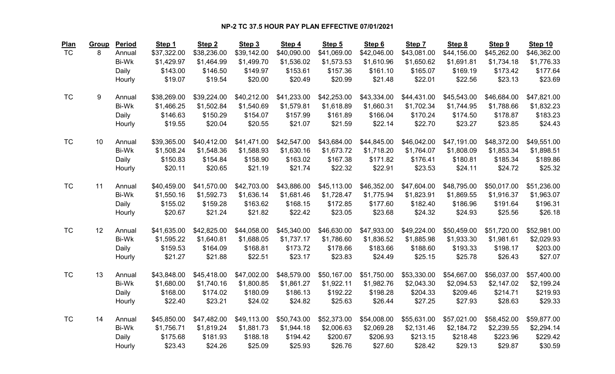| <u>Plan</u> | <b>Group</b> | Period       | Step 1      | Step <sub>2</sub> | Step 3      | Step 4      | Step 5      | Step 6      | Step 7      | Step 8      | Step 9      | Step 10     |
|-------------|--------------|--------------|-------------|-------------------|-------------|-------------|-------------|-------------|-------------|-------------|-------------|-------------|
| <b>TC</b>   | 8            | Annual       | \$37,322.00 | \$38,236.00       | \$39,142.00 | \$40,090.00 | \$41,069.00 | \$42,046.00 | \$43,081.00 | \$44,156.00 | \$45,262.00 | \$46,362.00 |
|             |              | Bi-Wk        | \$1,429.97  | \$1,464.99        | \$1,499.70  | \$1,536.02  | \$1,573.53  | \$1,610.96  | \$1,650.62  | \$1,691.81  | \$1,734.18  | \$1,776.33  |
|             |              | Daily        | \$143.00    | \$146.50          | \$149.97    | \$153.61    | \$157.36    | \$161.10    | \$165.07    | \$169.19    | \$173.42    | \$177.64    |
|             |              | Hourly       | \$19.07     | \$19.54           | \$20.00     | \$20.49     | \$20.99     | \$21.48     | \$22.01     | \$22.56     | \$23.13     | \$23.69     |
| <b>TC</b>   | 9            | Annual       | \$38,269.00 | \$39,224.00       | \$40,212.00 | \$41,233.00 | \$42,253.00 | \$43,334.00 | \$44,431.00 | \$45,543.00 | \$46,684.00 | \$47,821.00 |
|             |              | <b>Bi-Wk</b> | \$1,466.25  | \$1,502.84        | \$1,540.69  | \$1,579.81  | \$1,618.89  | \$1,660.31  | \$1,702.34  | \$1,744.95  | \$1,788.66  | \$1,832.23  |
|             |              | Daily        | \$146.63    | \$150.29          | \$154.07    | \$157.99    | \$161.89    | \$166.04    | \$170.24    | \$174.50    | \$178.87    | \$183.23    |
|             |              | Hourly       | \$19.55     | \$20.04           | \$20.55     | \$21.07     | \$21.59     | \$22.14     | \$22.70     | \$23.27     | \$23.85     | \$24.43     |
| <b>TC</b>   | 10           | Annual       | \$39,365.00 | \$40,412.00       | \$41,471.00 | \$42,547.00 | \$43,684.00 | \$44,845.00 | \$46,042.00 | \$47,191.00 | \$48,372.00 | \$49,551.00 |
|             |              | Bi-Wk        | \$1,508.24  | \$1,548.36        | \$1,588.93  | \$1,630.16  | \$1,673.72  | \$1,718.20  | \$1,764.07  | \$1,808.09  | \$1,853.34  | \$1,898.51  |
|             |              | Daily        | \$150.83    | \$154.84          | \$158.90    | \$163.02    | \$167.38    | \$171.82    | \$176.41    | \$180.81    | \$185.34    | \$189.86    |
|             |              | Hourly       | \$20.11     | \$20.65           | \$21.19     | \$21.74     | \$22.32     | \$22.91     | \$23.53     | \$24.11     | \$24.72     | \$25.32     |
| <b>TC</b>   | 11           | Annual       | \$40,459.00 | \$41,570.00       | \$42,703.00 | \$43,886.00 | \$45,113.00 | \$46,352.00 | \$47,604.00 | \$48,795.00 | \$50,017.00 | \$51,236.00 |
|             |              | <b>Bi-Wk</b> | \$1,550.16  | \$1,592.73        | \$1,636.14  | \$1,681.46  | \$1,728.47  | \$1,775.94  | \$1,823.91  | \$1,869.55  | \$1,916.37  | \$1,963.07  |
|             |              | Daily        | \$155.02    | \$159.28          | \$163.62    | \$168.15    | \$172.85    | \$177.60    | \$182.40    | \$186.96    | \$191.64    | \$196.31    |
|             |              | Hourly       | \$20.67     | \$21.24           | \$21.82     | \$22.42     | \$23.05     | \$23.68     | \$24.32     | \$24.93     | \$25.56     | \$26.18     |
|             |              |              |             |                   |             |             |             |             |             |             |             |             |
| <b>TC</b>   | 12           | Annual       | \$41,635.00 | \$42,825.00       | \$44,058.00 | \$45,340.00 | \$46,630.00 | \$47,933.00 | \$49,224.00 | \$50,459.00 | \$51,720.00 | \$52,981.00 |
|             |              | Bi-Wk        | \$1,595.22  | \$1,640.81        | \$1,688.05  | \$1,737.17  | \$1,786.60  | \$1,836.52  | \$1,885.98  | \$1,933.30  | \$1,981.61  | \$2,029.93  |
|             |              | Daily        | \$159.53    | \$164.09          | \$168.81    | \$173.72    | \$178.66    | \$183.66    | \$188.60    | \$193.33    | \$198.17    | \$203.00    |
|             |              | Hourly       | \$21.27     | \$21.88           | \$22.51     | \$23.17     | \$23.83     | \$24.49     | \$25.15     | \$25.78     | \$26.43     | \$27.07     |
| <b>TC</b>   | 13           | Annual       | \$43,848.00 | \$45,418.00       | \$47,002.00 | \$48,579.00 | \$50,167.00 | \$51,750.00 | \$53,330.00 | \$54,667.00 | \$56,037.00 | \$57,400.00 |
|             |              | Bi-Wk        | \$1,680.00  | \$1,740.16        | \$1,800.85  | \$1,861.27  | \$1,922.11  | \$1,982.76  | \$2,043.30  | \$2,094.53  | \$2,147.02  | \$2,199.24  |
|             |              | Daily        | \$168.00    | \$174.02          | \$180.09    | \$186.13    | \$192.22    | \$198.28    | \$204.33    | \$209.46    | \$214.71    | \$219.93    |
|             |              | Hourly       | \$22.40     | \$23.21           | \$24.02     | \$24.82     | \$25.63     | \$26.44     | \$27.25     | \$27.93     | \$28.63     | \$29.33     |
| <b>TC</b>   | 14           | Annual       | \$45,850.00 | \$47,482.00       | \$49,113.00 | \$50,743.00 | \$52,373.00 | \$54,008.00 | \$55,631.00 | \$57,021.00 | \$58,452.00 | \$59,877.00 |
|             |              | Bi-Wk        | \$1,756.71  | \$1,819.24        | \$1,881.73  | \$1,944.18  | \$2,006.63  | \$2,069.28  | \$2,131.46  | \$2,184.72  | \$2,239.55  | \$2,294.14  |
|             |              | Daily        | \$175.68    | \$181.93          | \$188.18    | \$194.42    | \$200.67    | \$206.93    | \$213.15    | \$218.48    | \$223.96    | \$229.42    |
|             |              | Hourly       | \$23.43     | \$24.26           | \$25.09     | \$25.93     | \$26.76     | \$27.60     | \$28.42     | \$29.13     | \$29.87     | \$30.59     |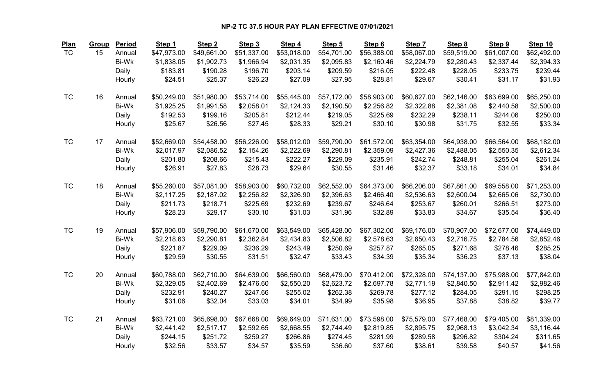| <b>Plan</b> | Group | Period       | Step 1      | Step <sub>2</sub> | Step 3      | Step 4      | Step 5      | Step 6      | Step 7      | Step 8      | Step 9      | Step 10     |
|-------------|-------|--------------|-------------|-------------------|-------------|-------------|-------------|-------------|-------------|-------------|-------------|-------------|
| <b>TC</b>   | 15    | Annual       | \$47,973.00 | \$49,661.00       | \$51,337.00 | \$53,018.00 | \$54,701.00 | \$56,388.00 | \$58,067.00 | \$59,519.00 | \$61,007.00 | \$62,492.00 |
|             |       | Bi-Wk        | \$1,838.05  | \$1,902.73        | \$1,966.94  | \$2,031.35  | \$2,095.83  | \$2,160.46  | \$2,224.79  | \$2,280.43  | \$2,337.44  | \$2,394.33  |
|             |       | Daily        | \$183.81    | \$190.28          | \$196.70    | \$203.14    | \$209.59    | \$216.05    | \$222.48    | \$228.05    | \$233.75    | \$239.44    |
|             |       | Hourly       | \$24.51     | \$25.37           | \$26.23     | \$27.09     | \$27.95     | \$28.81     | \$29.67     | \$30.41     | \$31.17     | \$31.93     |
| <b>TC</b>   | 16    | Annual       | \$50,249.00 | \$51,980.00       | \$53,714.00 | \$55,445.00 | \$57,172.00 | \$58,903.00 | \$60,627.00 | \$62,146.00 | \$63,699.00 | \$65,250.00 |
|             |       | Bi-Wk        | \$1,925.25  | \$1,991.58        | \$2,058.01  | \$2,124.33  | \$2,190.50  | \$2,256.82  | \$2,322.88  | \$2,381.08  | \$2,440.58  | \$2,500.00  |
|             |       | Daily        | \$192.53    | \$199.16          | \$205.81    | \$212.44    | \$219.05    | \$225.69    | \$232.29    | \$238.11    | \$244.06    | \$250.00    |
|             |       | Hourly       | \$25.67     | \$26.56           | \$27.45     | \$28.33     | \$29.21     | \$30.10     | \$30.98     | \$31.75     | \$32.55     | \$33.34     |
| <b>TC</b>   | 17    | Annual       | \$52,669.00 | \$54,458.00       | \$56,226.00 | \$58,012.00 | \$59,790.00 | \$61,572.00 | \$63,354.00 | \$64,938.00 | \$66,564.00 | \$68,182.00 |
|             |       | Bi-Wk        | \$2,017.97  | \$2,086.52        | \$2,154.26  | \$2,222.69  | \$2,290.81  | \$2,359.09  | \$2,427.36  | \$2,488.05  | \$2,550.35  | \$2,612.34  |
|             |       | Daily        | \$201.80    | \$208.66          | \$215.43    | \$222.27    | \$229.09    | \$235.91    | \$242.74    | \$248.81    | \$255.04    | \$261.24    |
|             |       | Hourly       | \$26.91     | \$27.83           | \$28.73     | \$29.64     | \$30.55     | \$31.46     | \$32.37     | \$33.18     | \$34.01     | \$34.84     |
| <b>TC</b>   | 18    | Annual       | \$55,260.00 | \$57,081.00       | \$58,903.00 | \$60,732.00 | \$62,552.00 | \$64,373.00 | \$66,206.00 | \$67,861.00 | \$69,558.00 | \$71,253.00 |
|             |       | Bi-Wk        | \$2,117.25  | \$2,187.02        | \$2,256.82  | \$2,326.90  | \$2,396.63  | \$2,466.40  | \$2,536.63  | \$2,600.04  | \$2,665.06  | \$2,730.00  |
|             |       | Daily        | \$211.73    | \$218.71          | \$225.69    | \$232.69    | \$239.67    | \$246.64    | \$253.67    | \$260.01    | \$266.51    | \$273.00    |
|             |       | Hourly       | \$28.23     | \$29.17           | \$30.10     | \$31.03     | \$31.96     | \$32.89     | \$33.83     | \$34.67     | \$35.54     | \$36.40     |
| <b>TC</b>   | 19    | Annual       | \$57,906.00 | \$59,790.00       | \$61,670.00 | \$63,549.00 | \$65,428.00 | \$67,302.00 | \$69,176.00 | \$70,907.00 | \$72,677.00 | \$74,449.00 |
|             |       | <b>Bi-Wk</b> | \$2,218.63  | \$2,290.81        | \$2,362.84  | \$2,434.83  | \$2,506.82  | \$2,578.63  | \$2,650.43  | \$2,716.75  | \$2,784.56  | \$2,852.46  |
|             |       | Daily        | \$221.87    | \$229.09          | \$236.29    | \$243.49    | \$250.69    | \$257.87    | \$265.05    | \$271.68    | \$278.46    | \$285.25    |
|             |       | Hourly       | \$29.59     | \$30.55           | \$31.51     | \$32.47     | \$33.43     | \$34.39     | \$35.34     | \$36.23     | \$37.13     | \$38.04     |
| <b>TC</b>   | 20    | Annual       | \$60,788.00 | \$62,710.00       | \$64,639.00 | \$66,560.00 | \$68,479.00 | \$70,412.00 | \$72,328.00 | \$74,137.00 | \$75,988.00 | \$77,842.00 |
|             |       | Bi-Wk        | \$2,329.05  | \$2,402.69        | \$2,476.60  | \$2,550.20  | \$2,623.72  | \$2,697.78  | \$2,771.19  | \$2,840.50  | \$2,911.42  | \$2,982.46  |
|             |       | Daily        | \$232.91    | \$240.27          | \$247.66    | \$255.02    | \$262.38    | \$269.78    | \$277.12    | \$284.05    | \$291.15    | \$298.25    |
|             |       | Hourly       | \$31.06     | \$32.04           | \$33.03     | \$34.01     | \$34.99     | \$35.98     | \$36.95     | \$37.88     | \$38.82     | \$39.77     |
| <b>TC</b>   | 21    | Annual       | \$63,721.00 | \$65,698.00       | \$67,668.00 | \$69,649.00 | \$71,631.00 | \$73,598.00 | \$75,579.00 | \$77,468.00 | \$79,405.00 | \$81,339.00 |
|             |       | Bi-Wk        | \$2,441.42  | \$2,517.17        | \$2,592.65  | \$2,668.55  | \$2,744.49  | \$2,819.85  | \$2,895.75  | \$2,968.13  | \$3,042.34  | \$3,116.44  |
|             |       | Daily        | \$244.15    | \$251.72          | \$259.27    | \$266.86    | \$274.45    | \$281.99    | \$289.58    | \$296.82    | \$304.24    | \$311.65    |
|             |       | Hourly       | \$32.56     | \$33.57           | \$34.57     | \$35.59     | \$36.60     | \$37.60     | \$38.61     | \$39.58     | \$40.57     | \$41.56     |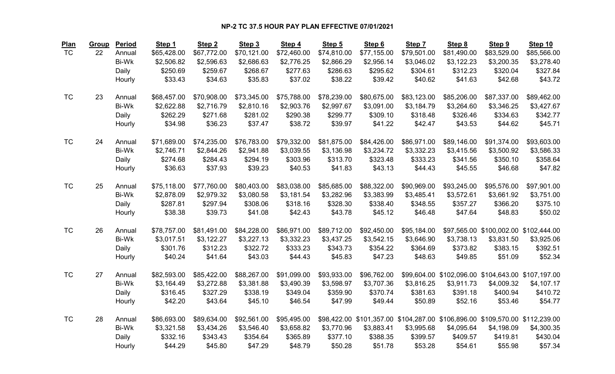| <b>Plan</b> | Group | Period       | Step 1      | Step <sub>2</sub> | Step 3      | Step 4      | Step 5      | Step 6      | Step 7                                                                       | Step 8      | Step 9      | Step 10                                            |
|-------------|-------|--------------|-------------|-------------------|-------------|-------------|-------------|-------------|------------------------------------------------------------------------------|-------------|-------------|----------------------------------------------------|
| <b>TC</b>   | 22    | Annual       | \$65,428.00 | \$67,772.00       | \$70,121.00 | \$72,460.00 | \$74,810.00 | \$77,155.00 | \$79,501.00                                                                  | \$81,490.00 | \$83,529.00 | \$85,566.00                                        |
|             |       | <b>Bi-Wk</b> | \$2,506.82  | \$2,596.63        | \$2,686.63  | \$2,776.25  | \$2,866.29  | \$2,956.14  | \$3,046.02                                                                   | \$3,122.23  | \$3,200.35  | \$3,278.40                                         |
|             |       | Daily        | \$250.69    | \$259.67          | \$268.67    | \$277.63    | \$286.63    | \$295.62    | \$304.61                                                                     | \$312.23    | \$320.04    | \$327.84                                           |
|             |       | Hourly       | \$33.43     | \$34.63           | \$35.83     | \$37.02     | \$38.22     | \$39.42     | \$40.62                                                                      | \$41.63     | \$42.68     | \$43.72                                            |
| <b>TC</b>   | 23    | Annual       | \$68,457.00 | \$70,908.00       | \$73,345.00 | \$75,788.00 | \$78,239.00 | \$80,675.00 | \$83,123.00                                                                  | \$85,206.00 | \$87,337.00 | \$89,462.00                                        |
|             |       | Bi-Wk        | \$2,622.88  | \$2,716.79        | \$2,810.16  | \$2,903.76  | \$2,997.67  | \$3,091.00  | \$3,184.79                                                                   | \$3,264.60  | \$3,346.25  | \$3,427.67                                         |
|             |       | Daily        | \$262.29    | \$271.68          | \$281.02    | \$290.38    | \$299.77    | \$309.10    | \$318.48                                                                     | \$326.46    | \$334.63    | \$342.77                                           |
|             |       | Hourly       | \$34.98     | \$36.23           | \$37.47     | \$38.72     | \$39.97     | \$41.22     | \$42.47                                                                      | \$43.53     | \$44.62     | \$45.71                                            |
| <b>TC</b>   | 24    | Annual       | \$71,689.00 | \$74,235.00       | \$76,783.00 | \$79,332.00 | \$81,875.00 | \$84,426.00 | \$86,971.00                                                                  | \$89,146.00 | \$91,374.00 | \$93,603.00                                        |
|             |       | Bi-Wk        | \$2,746.71  | \$2,844.26        | \$2,941.88  | \$3,039.55  | \$3,136.98  | \$3,234.72  | \$3,332.23                                                                   | \$3,415.56  | \$3,500.92  | \$3,586.33                                         |
|             |       | Daily        | \$274.68    | \$284.43          | \$294.19    | \$303.96    | \$313.70    | \$323.48    | \$333.23                                                                     | \$341.56    | \$350.10    | \$358.64                                           |
|             |       | Hourly       | \$36.63     | \$37.93           | \$39.23     | \$40.53     | \$41.83     | \$43.13     | \$44.43                                                                      | \$45.55     | \$46.68     | \$47.82                                            |
| <b>TC</b>   | 25    | Annual       | \$75,118.00 | \$77,760.00       | \$80,403.00 | \$83,038.00 | \$85,685.00 | \$88,322.00 | \$90,969.00                                                                  | \$93,245.00 | \$95,576.00 | \$97,901.00                                        |
|             |       | Bi-Wk        | \$2,878.09  | \$2,979.32        | \$3,080.58  | \$3,181.54  | \$3,282.96  | \$3,383.99  | \$3,485.41                                                                   | \$3,572.61  | \$3,661.92  | \$3,751.00                                         |
|             |       | Daily        | \$287.81    | \$297.94          | \$308.06    | \$318.16    | \$328.30    | \$338.40    | \$348.55                                                                     | \$357.27    | \$366.20    | \$375.10                                           |
|             |       | Hourly       | \$38.38     | \$39.73           | \$41.08     | \$42.43     | \$43.78     | \$45.12     | \$46.48                                                                      | \$47.64     | \$48.83     | \$50.02                                            |
| <b>TC</b>   | 26    | Annual       | \$78,757.00 | \$81,491.00       | \$84,228.00 | \$86,971.00 | \$89,712.00 | \$92,450.00 | \$95,184.00                                                                  |             |             | \$97,565.00 \$100,002.00 \$102,444.00              |
|             |       | <b>Bi-Wk</b> | \$3,017.51  | \$3,122.27        | \$3,227.13  | \$3,332.23  | \$3,437.25  | \$3,542.15  | \$3,646.90                                                                   | \$3,738.13  | \$3,831.50  | \$3,925.06                                         |
|             |       | Daily        | \$301.76    | \$312.23          | \$322.72    | \$333.23    | \$343.73    | \$354.22    | \$364.69                                                                     | \$373.82    | \$383.15    | \$392.51                                           |
|             |       | Hourly       | \$40.24     | \$41.64           | \$43.03     | \$44.43     | \$45.83     | \$47.23     | \$48.63                                                                      | \$49.85     | \$51.09     | \$52.34                                            |
| <b>TC</b>   | 27    | Annual       | \$82,593.00 | \$85,422.00       | \$88,267.00 | \$91,099.00 | \$93,933.00 | \$96,762.00 |                                                                              |             |             | \$99,604.00 \$102,096.00 \$104,643.00 \$107,197.00 |
|             |       | Bi-Wk        | \$3,164.49  | \$3,272.88        | \$3,381.88  | \$3,490.39  | \$3,598.97  | \$3,707.36  | \$3,816.25                                                                   | \$3,911.73  | \$4,009.32  | \$4,107.17                                         |
|             |       | Daily        | \$316.45    | \$327.29          | \$338.19    | \$349.04    | \$359.90    | \$370.74    | \$381.63                                                                     | \$391.18    | \$400.94    | \$410.72                                           |
|             |       | Hourly       | \$42.20     | \$43.64           | \$45.10     | \$46.54     | \$47.99     | \$49.44     | \$50.89                                                                      | \$52.16     | \$53.46     | \$54.77                                            |
| <b>TC</b>   | 28    | Annual       | \$86,693.00 | \$89,634.00       | \$92,561.00 | \$95,495.00 |             |             | \$98,422.00 \$101,357.00 \$104,287.00 \$106,896.00 \$109,570.00 \$112,239.00 |             |             |                                                    |
|             |       | Bi-Wk        | \$3,321.58  | \$3,434.26        | \$3,546.40  | \$3,658.82  | \$3,770.96  | \$3,883.41  | \$3,995.68                                                                   | \$4,095.64  | \$4,198.09  | \$4,300.35                                         |
|             |       | Daily        | \$332.16    | \$343.43          | \$354.64    | \$365.89    | \$377.10    | \$388.35    | \$399.57                                                                     | \$409.57    | \$419.81    | \$430.04                                           |
|             |       | Hourly       | \$44.29     | \$45.80           | \$47.29     | \$48.79     | \$50.28     | \$51.78     | \$53.28                                                                      | \$54.61     | \$55.98     | \$57.34                                            |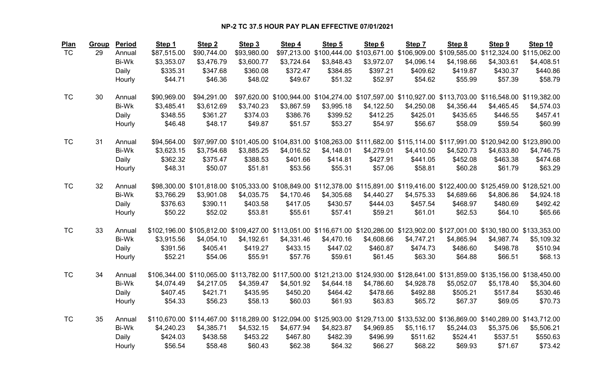| <b>Plan</b> | Group | Period | Step 1      | Step <sub>2</sub> | Step 3                                                                                                                            | Step 4     | Step 5     | Step 6                                                                                                 | Step 7     | Step 8     | Step 9     | Step 10    |
|-------------|-------|--------|-------------|-------------------|-----------------------------------------------------------------------------------------------------------------------------------|------------|------------|--------------------------------------------------------------------------------------------------------|------------|------------|------------|------------|
| <b>TC</b>   | 29    | Annual | \$87,515.00 | \$90,744.00       | \$93,980.00                                                                                                                       |            |            | \$97,213.00 \$100,444.00 \$103,671.00 \$106,909.00 \$109,585.00 \$112,324.00 \$115,062.00              |            |            |            |            |
|             |       | Bi-Wk  | \$3,353.07  | \$3,476.79        | \$3,600.77                                                                                                                        | \$3,724.64 | \$3,848.43 | \$3,972.07                                                                                             | \$4,096.14 | \$4,198.66 | \$4,303.61 | \$4,408.51 |
|             |       | Daily  | \$335.31    | \$347.68          | \$360.08                                                                                                                          | \$372.47   | \$384.85   | \$397.21                                                                                               | \$409.62   | \$419.87   | \$430.37   | \$440.86   |
|             |       | Hourly | \$44.71     | \$46.36           | \$48.02                                                                                                                           | \$49.67    | \$51.32    | \$52.97                                                                                                | \$54.62    | \$55.99    | \$57.39    | \$58.79    |
| <b>TC</b>   | 30    | Annual | \$90,969.00 | \$94,291.00       |                                                                                                                                   |            |            | \$97,620.00 \$100,944.00 \$104,274.00 \$107,597.00 \$110,927.00 \$113,703.00 \$116,548.00 \$119,382.00 |            |            |            |            |
|             |       | Bi-Wk  | \$3,485.41  | \$3,612.69        | \$3,740.23                                                                                                                        | \$3,867.59 | \$3,995.18 | \$4,122.50                                                                                             | \$4,250.08 | \$4,356.44 | \$4,465.45 | \$4,574.03 |
|             |       | Daily  | \$348.55    | \$361.27          | \$374.03                                                                                                                          | \$386.76   | \$399.52   | \$412.25                                                                                               | \$425.01   | \$435.65   | \$446.55   | \$457.41   |
|             |       | Hourly | \$46.48     | \$48.17           | \$49.87                                                                                                                           | \$51.57    | \$53.27    | \$54.97                                                                                                | \$56.67    | \$58.09    | \$59.54    | \$60.99    |
| <b>TC</b>   | 31    | Annual | \$94,564.00 |                   | \$97,997.00 \$101,405.00 \$104,831.00 \$108,263.00 \$111,682.00 \$115,114.00 \$117,991.00 \$120,942.00 \$123,890.00               |            |            |                                                                                                        |            |            |            |            |
|             |       | Bi-Wk  | \$3,623.15  | \$3,754.68        | \$3,885.25                                                                                                                        | \$4,016.52 | \$4,148.01 | \$4,279.01                                                                                             | \$4,410.50 | \$4,520.73 | \$4,633.80 | \$4,746.75 |
|             |       | Daily  | \$362.32    | \$375.47          | \$388.53                                                                                                                          | \$401.66   | \$414.81   | \$427.91                                                                                               | \$441.05   | \$452.08   | \$463.38   | \$474.68   |
|             |       | Hourly | \$48.31     | \$50.07           | \$51.81                                                                                                                           | \$53.56    | \$55.31    | \$57.06                                                                                                | \$58.81    | \$60.28    | \$61.79    | \$63.29    |
| <b>TC</b>   | 32    | Annual |             |                   | \$98,300.00 \$101,818.00 \$105,333.00 \$108,849.00 \$112,378.00 \$115,891.00 \$119,416.00 \$122,400.00 \$125,459.00 \$128,521.00  |            |            |                                                                                                        |            |            |            |            |
|             |       | Bi-Wk  | \$3,766.29  | \$3,901.08        | \$4,035.75                                                                                                                        | \$4,170.46 | \$4,305.68 | \$4,440.27                                                                                             | \$4,575.33 | \$4,689.66 | \$4,806.86 | \$4,924.18 |
|             |       | Daily  | \$376.63    | \$390.11          | \$403.58                                                                                                                          | \$417.05   | \$430.57   | \$444.03                                                                                               | \$457.54   | \$468.97   | \$480.69   | \$492.42   |
|             |       | Hourly | \$50.22     | \$52.02           | \$53.81                                                                                                                           | \$55.61    | \$57.41    | \$59.21                                                                                                | \$61.01    | \$62.53    | \$64.10    | \$65.66    |
| <b>TC</b>   | 33    | Annual |             |                   | \$102,196.00 \$105,812.00 \$109,427.00 \$113,051.00 \$116,671.00 \$120,286.00 \$123,902.00 \$127,001.00 \$130,180.00 \$133,353.00 |            |            |                                                                                                        |            |            |            |            |
|             |       | Bi-Wk  | \$3,915.56  | \$4,054.10        | \$4,192.61                                                                                                                        | \$4,331.46 | \$4,470.16 | \$4,608.66                                                                                             | \$4,747.21 | \$4,865.94 | \$4,987.74 | \$5,109.32 |
|             |       | Daily  | \$391.56    | \$405.41          | \$419.27                                                                                                                          | \$433.15   | \$447.02   | \$460.87                                                                                               | \$474.73   | \$486.60   | \$498.78   | \$510.94   |
|             |       | Hourly | \$52.21     | \$54.06           | \$55.91                                                                                                                           | \$57.76    | \$59.61    | \$61.45                                                                                                | \$63.30    | \$64.88    | \$66.51    | \$68.13    |
| <b>TC</b>   | 34    | Annual |             |                   | \$106,344.00 \$110,065.00 \$113,782.00 \$117,500.00 \$121,213.00 \$124,930.00 \$128,641.00 \$131,859.00 \$135,156.00 \$138,450.00 |            |            |                                                                                                        |            |            |            |            |
|             |       | Bi-Wk  | \$4,074.49  | \$4,217.05        | \$4,359.47                                                                                                                        | \$4,501.92 | \$4,644.18 | \$4,786.60                                                                                             | \$4,928.78 | \$5,052.07 | \$5,178.40 | \$5,304.60 |
|             |       | Daily  | \$407.45    | \$421.71          | \$435.95                                                                                                                          | \$450.20   | \$464.42   | \$478.66                                                                                               | \$492.88   | \$505.21   | \$517.84   | \$530.46   |
|             |       | Hourly | \$54.33     | \$56.23           | \$58.13                                                                                                                           | \$60.03    | \$61.93    | \$63.83                                                                                                | \$65.72    | \$67.37    | \$69.05    | \$70.73    |
| <b>TC</b>   | 35    | Annual |             |                   | \$110,670.00 \$114,467.00 \$118,289.00 \$122,094.00 \$125,903.00 \$129,713.00 \$133,532.00 \$136,869.00 \$140,289.00 \$143,712.00 |            |            |                                                                                                        |            |            |            |            |
|             |       | Bi-Wk  | \$4,240.23  | \$4,385.71        | \$4,532.15                                                                                                                        | \$4,677.94 | \$4,823.87 | \$4,969.85                                                                                             | \$5,116.17 | \$5,244.03 | \$5,375.06 | \$5,506.21 |
|             |       | Daily  | \$424.03    | \$438.58          | \$453.22                                                                                                                          | \$467.80   | \$482.39   | \$496.99                                                                                               | \$511.62   | \$524.41   | \$537.51   | \$550.63   |
|             |       | Hourly | \$56.54     | \$58.48           | \$60.43                                                                                                                           | \$62.38    | \$64.32    | \$66.27                                                                                                | \$68.22    | \$69.93    | \$71.67    | \$73.42    |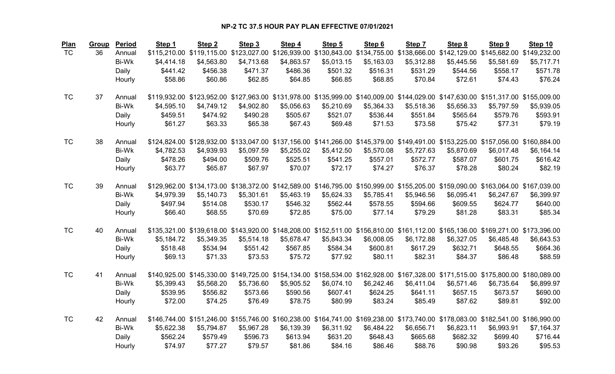| <b>Plan</b> | Group | Period       | Step 1     | Step <sub>2</sub>                                                                                                                 | Step 3     | Step 4     | Step 5     | Step 6     | Step 7     | Step 8     | Step 9     | Step 10    |
|-------------|-------|--------------|------------|-----------------------------------------------------------------------------------------------------------------------------------|------------|------------|------------|------------|------------|------------|------------|------------|
| <b>TC</b>   | 36    | Annual       |            | \$115,210.00 \$119,115.00 \$123,027.00 \$126,939.00 \$130,843.00 \$134,755.00 \$138,666.00 \$142,129.00 \$145,682.00 \$149,232.00 |            |            |            |            |            |            |            |            |
|             |       | Bi-Wk        | \$4,414.18 | \$4,563.80                                                                                                                        | \$4,713.68 | \$4,863.57 | \$5,013.15 | \$5,163.03 | \$5,312.88 | \$5,445.56 | \$5,581.69 | \$5,717.71 |
|             |       | Daily        | \$441.42   | \$456.38                                                                                                                          | \$471.37   | \$486.36   | \$501.32   | \$516.31   | \$531.29   | \$544.56   | \$558.17   | \$571.78   |
|             |       | Hourly       | \$58.86    | \$60.86                                                                                                                           | \$62.85    | \$64.85    | \$66.85    | \$68.85    | \$70.84    | \$72.61    | \$74.43    | \$76.24    |
| <b>TC</b>   | 37    | Annual       |            | \$119,932.00 \$123,952.00 \$127,963.00 \$131,978.00 \$135,999.00 \$140,009.00 \$144,029.00 \$147,630.00 \$151,317.00 \$155,009.00 |            |            |            |            |            |            |            |            |
|             |       | Bi-Wk        | \$4,595.10 | \$4,749.12                                                                                                                        | \$4,902.80 | \$5,056.63 | \$5,210.69 | \$5,364.33 | \$5,518.36 | \$5,656.33 | \$5,797.59 | \$5,939.05 |
|             |       | Daily        | \$459.51   | \$474.92                                                                                                                          | \$490.28   | \$505.67   | \$521.07   | \$536.44   | \$551.84   | \$565.64   | \$579.76   | \$593.91   |
|             |       | Hourly       | \$61.27    | \$63.33                                                                                                                           | \$65.38    | \$67.43    | \$69.48    | \$71.53    | \$73.58    | \$75.42    | \$77.31    | \$79.19    |
| <b>TC</b>   | 38    | Annual       |            | \$124,824.00 \$128,932.00 \$133,047.00 \$137,156.00 \$141,266.00 \$145,379.00 \$149,491.00 \$153,225.00 \$157,056.00 \$160,884.00 |            |            |            |            |            |            |            |            |
|             |       | <b>Bi-Wk</b> | \$4,782.53 | \$4,939.93                                                                                                                        | \$5,097.59 | \$5,255.02 | \$5,412.50 | \$5,570.08 | \$5,727.63 | \$5,870.69 | \$6,017.48 | \$6,164.14 |
|             |       | Daily        | \$478.26   | \$494.00                                                                                                                          | \$509.76   | \$525.51   | \$541.25   | \$557.01   | \$572.77   | \$587.07   | \$601.75   | \$616.42   |
|             |       | Hourly       | \$63.77    | \$65.87                                                                                                                           | \$67.97    | \$70.07    | \$72.17    | \$74.27    | \$76.37    | \$78.28    | \$80.24    | \$82.19    |
| <b>TC</b>   | 39    | Annual       |            | \$129,962.00 \$134,173.00 \$138,372.00 \$142,589.00 \$146,795.00 \$150,999.00 \$155,205.00 \$159,090.00 \$163,064.00 \$167,039.00 |            |            |            |            |            |            |            |            |
|             |       | Bi-Wk        | \$4,979.39 | \$5,140.73                                                                                                                        | \$5,301.61 | \$5,463.19 | \$5,624.33 | \$5,785.41 | \$5,946.56 | \$6,095.41 | \$6,247.67 | \$6,399.97 |
|             |       | Daily        | \$497.94   | \$514.08                                                                                                                          | \$530.17   | \$546.32   | \$562.44   | \$578.55   | \$594.66   | \$609.55   | \$624.77   | \$640.00   |
|             |       | Hourly       | \$66.40    | \$68.55                                                                                                                           | \$70.69    | \$72.85    | \$75.00    | \$77.14    | \$79.29    | \$81.28    | \$83.31    | \$85.34    |
| <b>TC</b>   | 40    | Annual       |            | \$135,321.00 \$139,618.00 \$143,920.00 \$148,208.00 \$152,511.00 \$156,810.00 \$161,112.00 \$165,136.00 \$169,271.00 \$173,396.00 |            |            |            |            |            |            |            |            |
|             |       | Bi-Wk        | \$5,184.72 | \$5,349.35                                                                                                                        | \$5,514.18 | \$5,678.47 | \$5,843.34 | \$6,008.05 | \$6,172.88 | \$6,327.05 | \$6,485.48 | \$6,643.53 |
|             |       | Daily        | \$518.48   | \$534.94                                                                                                                          | \$551.42   | \$567.85   | \$584.34   | \$600.81   | \$617.29   | \$632.71   | \$648.55   | \$664.36   |
|             |       | Hourly       | \$69.13    | \$71.33                                                                                                                           | \$73.53    | \$75.72    | \$77.92    | \$80.11    | \$82.31    | \$84.37    | \$86.48    | \$88.59    |
| <b>TC</b>   | 41    | Annual       |            | \$140,925.00 \$145,330.00 \$149,725.00 \$154,134.00 \$158,534.00 \$162,928.00 \$167,328.00 \$171,515.00 \$175,800.00 \$180,089.00 |            |            |            |            |            |            |            |            |
|             |       | Bi-Wk        | \$5,399.43 | \$5,568.20                                                                                                                        | \$5,736.60 | \$5,905.52 | \$6,074.10 | \$6,242.46 | \$6,411.04 | \$6,571.46 | \$6,735.64 | \$6,899.97 |
|             |       | Daily        | \$539.95   | \$556.82                                                                                                                          | \$573.66   | \$590.56   | \$607.41   | \$624.25   | \$641.11   | \$657.15   | \$673.57   | \$690.00   |
|             |       | Hourly       | \$72.00    | \$74.25                                                                                                                           | \$76.49    | \$78.75    | \$80.99    | \$83.24    | \$85.49    | \$87.62    | \$89.81    | \$92.00    |
| <b>TC</b>   | 42    | Annual       |            | \$146,744.00 \$151,246.00 \$155,746.00 \$160,238.00 \$164,741.00 \$169,238.00 \$173,740.00 \$178,083.00 \$182,541.00 \$186,990.00 |            |            |            |            |            |            |            |            |
|             |       | Bi-Wk        | \$5,622.38 | \$5,794.87                                                                                                                        | \$5,967.28 | \$6,139.39 | \$6,311.92 | \$6,484.22 | \$6,656.71 | \$6,823.11 | \$6,993.91 | \$7,164.37 |
|             |       | Daily        | \$562.24   | \$579.49                                                                                                                          | \$596.73   | \$613.94   | \$631.20   | \$648.43   | \$665.68   | \$682.32   | \$699.40   | \$716.44   |
|             |       | Hourly       | \$74.97    | \$77.27                                                                                                                           | \$79.57    | \$81.86    | \$84.16    | \$86.46    | \$88.76    | \$90.98    | \$93.26    | \$95.53    |